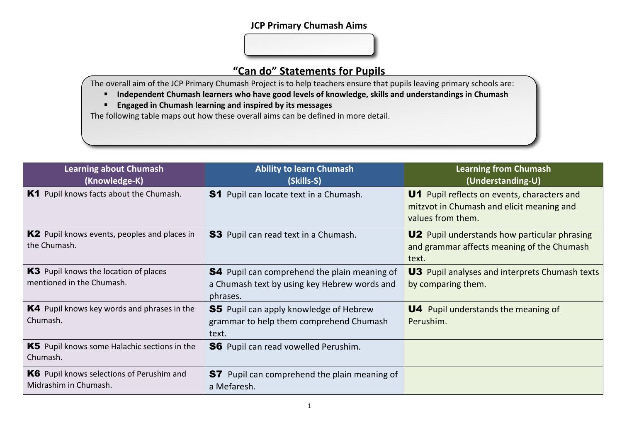## **JCP Primary Chumash Aims**

## **"Can do" Statements for Pupils**

The overall aim of the JCP Primary Chumash Project is to help teachers ensure that pupils leaving primary schools are:

- Independent Chumash learners who have good levels of knowledge, skills and understandings in Chumash
- **Engaged in Chumash learning and inspired by its messages**

The following table maps out how these overall aims can be defined in more detail.

| Learning about Chumash<br>(Knowledge-K)                             | <b>Ability to learn Chumash</b><br>(Skills-S)                                                                   | <b>Learning from Chumash</b><br>(Understanding-U)                                                             |
|---------------------------------------------------------------------|-----------------------------------------------------------------------------------------------------------------|---------------------------------------------------------------------------------------------------------------|
| K1 Pupil knows facts about the Chumash.                             | <b>S1</b> Pupil can locate text in a Chumash.                                                                   | U1 Pupil reflects on events, characters and<br>mitzvot in Chumash and elicit meaning and<br>values from them. |
| <b>K2</b> Pupil knows events, peoples and places in<br>the Chumash. | <b>S3</b> Pupil can read text in a Chumash.                                                                     | <b>U2</b> Pupil understands how particular phrasing<br>and grammar affects meaning of the Chumash<br>text.    |
| K3 Pupil knows the location of places<br>mentioned in the Chumash.  | <b>S4</b> Pupil can comprehend the plain meaning of<br>a Chumash text by using key Hebrew words and<br>phrases. | <b>U3</b> Pupil analyses and interprets Chumash texts<br>by comparing them.                                   |
| K4 Pupil knows key words and phrases in the<br>Chumash.             | <b>S5</b> Pupil can apply knowledge of Hebrew<br>grammar to help them comprehend Chumash<br>text.               | <b>U4</b> Pupil understands the meaning of<br>Perushim.                                                       |
| K5 Pupil knows some Halachic sections in the<br>Chumash.            | <b>S6</b> Pupil can read vowelled Perushim.                                                                     |                                                                                                               |
| K6 Pupil knows selections of Perushim and<br>Midrashim in Chumash.  | Pupil can comprehend the plain meaning of<br>S7<br>a Mefaresh.                                                  |                                                                                                               |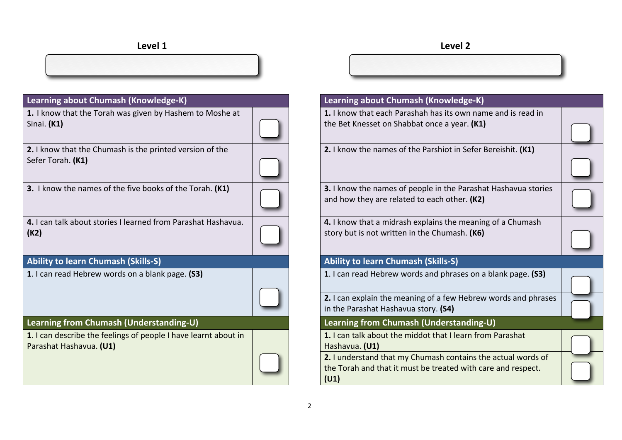| Learning about Chumash (Knowledge-K)                                                       | Learning about Chumash (Knowledge-K)                                                                                                 |
|--------------------------------------------------------------------------------------------|--------------------------------------------------------------------------------------------------------------------------------------|
| 1. I know that the Torah was given by Hashem to Moshe at<br>Sinai. $(K1)$                  | 1. I know that each Parashah has its own name and is read in<br>the Bet Knesset on Shabbat once a year. (K1)                         |
| 2. I know that the Chumash is the printed version of the<br>Sefer Torah. (K1)              | 2. I know the names of the Parshiot in Sefer Bereishit. (K1)                                                                         |
| 3. I know the names of the five books of the Torah. (K1)                                   | 3. I know the names of people in the Parashat Hashavua stories<br>and how they are related to each other. (K2)                       |
| 4. I can talk about stories I learned from Parashat Hashavua.<br>(K2)                      | 4. I know that a midrash explains the meaning of a Chumash<br>story but is not written in the Chumash. (K6)                          |
| <b>Ability to learn Chumash (Skills-S)</b>                                                 | <b>Ability to learn Chumash (Skills-S)</b>                                                                                           |
| 1. I can read Hebrew words on a blank page. (S3)                                           | 1. I can read Hebrew words and phrases on a blank page. (S3)                                                                         |
|                                                                                            | 2. I can explain the meaning of a few Hebrew words and phrases<br>in the Parashat Hashavua story. (S4)                               |
| Learning from Chumash (Understanding-U)                                                    | Learning from Chumash (Understanding-U)                                                                                              |
| 1. I can describe the feelings of people I have learnt about in<br>Parashat Hashavua. (U1) | 1. I can talk about the middot that I learn from Parashat<br>Hashavua. (U1)                                                          |
|                                                                                            | 2. I understand that my Chumash contains the actual words of<br>the Torah and that it must be treated with care and respect.<br>(U1) |

| Learning about Chumash (Knowledge-K)                                                                                                 |  |
|--------------------------------------------------------------------------------------------------------------------------------------|--|
| 1. I know that each Parashah has its own name and is read in<br>the Bet Knesset on Shabbat once a year. (K1)                         |  |
| 2. I know the names of the Parshiot in Sefer Bereishit. (K1)                                                                         |  |
| 3. I know the names of people in the Parashat Hashavua stories<br>and how they are related to each other. (K2)                       |  |
| 4. I know that a midrash explains the meaning of a Chumash<br>story but is not written in the Chumash. (K6)                          |  |
| <b>Ability to learn Chumash (Skills-S)</b>                                                                                           |  |
| 1. I can read Hebrew words and phrases on a blank page. (S3)                                                                         |  |
| 2. I can explain the meaning of a few Hebrew words and phrases<br>in the Parashat Hashavua story. (S4)                               |  |
| Learning from Chumash (Understanding-U)                                                                                              |  |
| 1. I can talk about the middot that I learn from Parashat<br>Hashavua. (U1)                                                          |  |
| 2. I understand that my Chumash contains the actual words of<br>the Torah and that it must be treated with care and respect.<br>(U1) |  |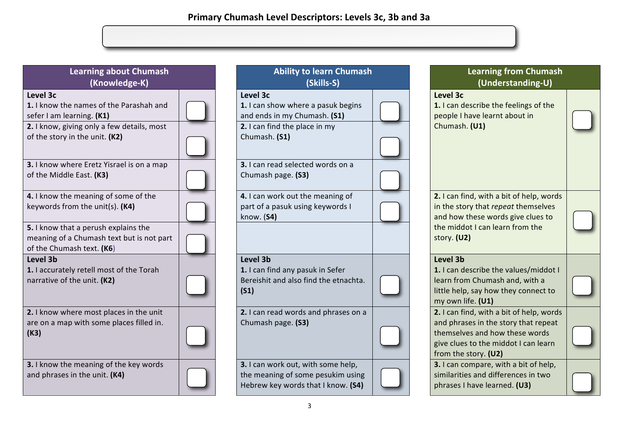| <b>Learning about Chumash</b><br>(Knowledge-K)                                                                                                                   | <b>Ability to learn Chumash</b><br>(Skills-S)                                                                                    | <b>Lear</b><br>ี (เ                                                                          |
|------------------------------------------------------------------------------------------------------------------------------------------------------------------|----------------------------------------------------------------------------------------------------------------------------------|----------------------------------------------------------------------------------------------|
| Level 3c<br>1. I know the names of the Parashah and<br>sefer I am learning. (K1)<br>2. I know, giving only a few details, most<br>of the story in the unit. (K2) | Level 3c<br>1. I can show where a pasuk begins<br>and ends in my Chumash. (S1)<br>2. I can find the place in my<br>Chumash. (S1) | Level 3c<br>1. I can describ<br>people I have I<br>Chumash. (U1)                             |
| 3. I know where Eretz Yisrael is on a map<br>of the Middle East. (K3)                                                                                            | 3. I can read selected words on a<br>Chumash page. (S3)                                                                          |                                                                                              |
| 4. I know the meaning of some of the<br>keywords from the unit(s). (K4)                                                                                          | 4. I can work out the meaning of<br>part of a pasuk using keywords I<br>know. (S4)                                               | 2. I can find, wi<br>in the story tha<br>and how these                                       |
| 5. I know that a perush explains the<br>meaning of a Chumash text but is not part<br>of the Chumash text. (K6)                                                   |                                                                                                                                  | the middot I ca<br>story. (U2)                                                               |
| Level 3b<br>1. I accurately retell most of the Torah<br>narrative of the unit. (K2)                                                                              | Level 3b<br>1. I can find any pasuk in Sefer<br>Bereishit and also find the etnachta.<br>(S1)                                    | Level 3b<br>1. I can describ<br>learn from Chu<br>little help, say I<br>my own life. (U      |
| 2. I know where most places in the unit<br>are on a map with some places filled in.<br>(K3)                                                                      | 2. I can read words and phrases on a<br>Chumash page. (S3)                                                                       | 2. I can find, wi<br>and phrases in<br>themselves and<br>give clues to th<br>from the story. |
| 3. I know the meaning of the key words<br>and phrases in the unit. (K4)                                                                                          | 3. I can work out, with some help,<br>the meaning of some pesukim using<br>Hebrew key words that I know. (S4)                    | 3. I can compa<br>similarities and<br>phrases I have                                         |

| <b>Ability to learn Chumash</b><br>(Skills-S)                                                                                                                         |  |
|-----------------------------------------------------------------------------------------------------------------------------------------------------------------------|--|
| Level 3c<br>1. I can show where a pasuk begins<br>and ends in my Chumash. (S1)<br>2. I can find the place in my<br>Chumash. (S1)<br>3. I can read selected words on a |  |
| Chumash page. (S3)                                                                                                                                                    |  |
| 4. I can work out the meaning of<br>part of a pasuk using keywords I<br>know. (S4)                                                                                    |  |
| Level 3b<br>1. I can find any pasuk in Sefer<br>Bereishit and also find the etnachta.<br>(S1)                                                                         |  |
| 2. I can read words and phrases on a<br>Chumash page. (S3)                                                                                                            |  |
| 3. I can work out, with some help,<br>the meaning of some pesukim using<br>Hebrew key words that I know. (S4)                                                         |  |

| Learning from Chumash<br>(Understanding-U)                                                                                                                                         |  |
|------------------------------------------------------------------------------------------------------------------------------------------------------------------------------------|--|
| Level 3c<br>1. I can describe the feelings of the<br>people I have learnt about in<br>Chumash. (U1)                                                                                |  |
| 2. I can find, with a bit of help, words<br>in the story that repeat themselves<br>and how these words give clues to<br>the middot I can learn from the<br>story. (U2)             |  |
| Level 3b<br>1. I can describe the values/middot I<br>learn from Chumash and, with a<br>little help, say how they connect to<br>my own life. (U1)                                   |  |
| 2. I can find, with a bit of help, words<br>and phrases in the story that repeat<br>themselves and how these words<br>give clues to the middot I can learn<br>from the story. (U2) |  |
| 3. I can compare, with a bit of help,<br>similarities and differences in two<br>phrases I have learned. (U3)                                                                       |  |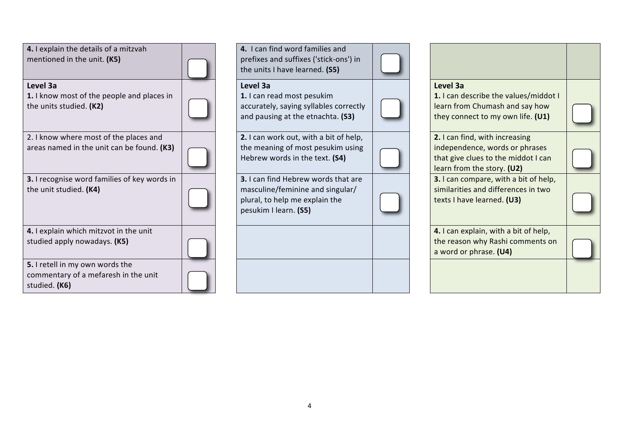| 4. I explain the details of a mitzvah<br>mentioned in the unit. (K5)                     |  |
|------------------------------------------------------------------------------------------|--|
| Level 3a<br>1. I know most of the people and places in<br>the units studied. (K2)        |  |
| 2. I know where most of the places and<br>areas named in the unit can be found. (K3)     |  |
| 3. I recognise word families of key words in<br>the unit studied. (K4)                   |  |
| 4. I explain which mitzvot in the unit<br>studied apply nowadays. (K5)                   |  |
| 5. I retell in my own words the<br>commentary of a mefaresh in the unit<br>studied. (K6) |  |

**4.** I can find word families and prefixes and suffixes ('stick-ons') in the units I have learned. **(S5)** 

## **Level 3a**

**1.** I can read most pesukim accurately, saying syllables correctly and pausing at the etnachta. (S3)

**2.** I can work out, with a bit of help, the meaning of most pesukim using Hebrew words in the text. (S4)

**3.** I can find Hebrew words that are masculine/feminine and singular/ plural, to help me explain the pesukim I learn. **(S5)**

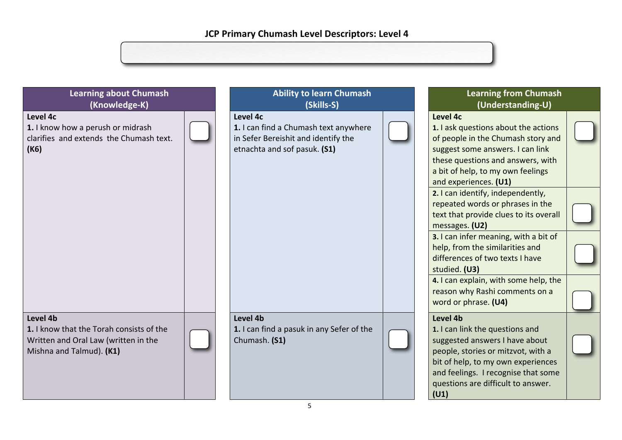| <b>Learning about Chumash</b><br>(Knowledge-K)                                                                           | <b>Ability to learn Chumash</b><br>(Skills-S)                                                                            | <b>Learning from Chumash</b><br>(Understanding-U)                                                                                                                                                                                              |
|--------------------------------------------------------------------------------------------------------------------------|--------------------------------------------------------------------------------------------------------------------------|------------------------------------------------------------------------------------------------------------------------------------------------------------------------------------------------------------------------------------------------|
| Level 4c<br>1. I know how a perush or midrash<br>clarifies and extends the Chumash text.<br>(K6)                         | Level 4c<br>1. I can find a Chumash text anywhere<br>in Sefer Bereishit and identify the<br>etnachta and sof pasuk. (S1) | Level 4c<br>1. I ask questions about the actions<br>of people in the Chumash story and<br>suggest some answers. I can link<br>these questions and answers, with<br>a bit of help, to my own feelings<br>and experiences. (U1)                  |
|                                                                                                                          |                                                                                                                          | 2. I can identify, independently,<br>repeated words or phrases in the<br>text that provide clues to its overall<br>messages. (U2)<br>3. I can infer meaning, with a bit of<br>help, from the similarities and                                  |
|                                                                                                                          |                                                                                                                          | differences of two texts I have<br>studied. (U3)                                                                                                                                                                                               |
|                                                                                                                          |                                                                                                                          | 4. I can explain, with some help, the<br>reason why Rashi comments on a<br>word or phrase. (U4)                                                                                                                                                |
| Level 4b<br>1. I know that the Torah consists of the<br>Written and Oral Law (written in the<br>Mishna and Talmud). (K1) | Level 4b<br>1. I can find a pasuk in any Sefer of the<br>Chumash. (S1)                                                   | Level 4b<br>1. I can link the questions and<br>suggested answers I have about<br>people, stories or mitzvot, with a<br>bit of help, to my own experiences<br>and feelings. I recognise that some<br>questions are difficult to answer.<br>(U1) |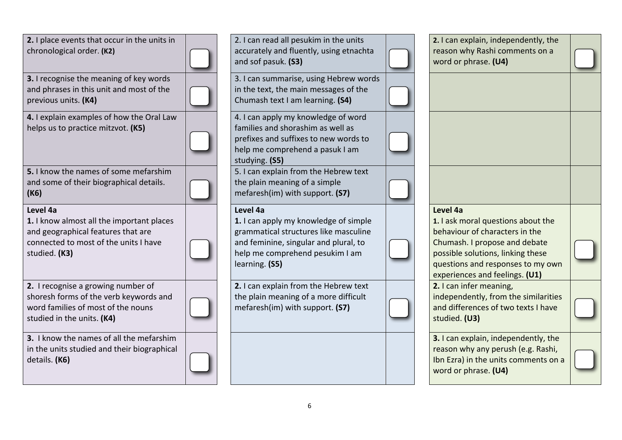| 2. I place events that occur in the units in<br>chronological order. (K2)                                                                             | 2. I can read all pesukim in the units<br>accurately and fluently, using etnachta<br>and sof pasuk. (S3)                                                                                 | 2. I can explain, independently, the<br>reason why Rashi comments on a<br>word or phrase. (U4)                                                                                                                                |  |
|-------------------------------------------------------------------------------------------------------------------------------------------------------|------------------------------------------------------------------------------------------------------------------------------------------------------------------------------------------|-------------------------------------------------------------------------------------------------------------------------------------------------------------------------------------------------------------------------------|--|
| 3. I recognise the meaning of key words<br>and phrases in this unit and most of the<br>previous units. (K4)                                           | 3. I can summarise, using Hebrew words<br>in the text, the main messages of the<br>Chumash text I am learning. (S4)                                                                      |                                                                                                                                                                                                                               |  |
| 4. I explain examples of how the Oral Law<br>helps us to practice mitzvot. (K5)                                                                       | 4. I can apply my knowledge of word<br>families and shorashim as well as<br>prefixes and suffixes to new words to<br>help me comprehend a pasuk I am<br>studying. (S5)                   |                                                                                                                                                                                                                               |  |
| 5. I know the names of some mefarshim<br>and some of their biographical details.<br>(K6)                                                              | 5. I can explain from the Hebrew text<br>the plain meaning of a simple<br>mefaresh(im) with support. (S7)                                                                                |                                                                                                                                                                                                                               |  |
| Level 4a<br>1. I know almost all the important places<br>and geographical features that are<br>connected to most of the units I have<br>studied. (K3) | Level 4a<br>1. I can apply my knowledge of simple<br>grammatical structures like masculine<br>and feminine, singular and plural, to<br>help me comprehend pesukim I am<br>learning. (S5) | Level 4a<br>1. I ask moral questions about the<br>behaviour of characters in the<br>Chumash. I propose and debate<br>possible solutions, linking these<br>questions and responses to my own<br>experiences and feelings. (U1) |  |
| 2. I recognise a growing number of<br>shoresh forms of the verb keywords and<br>word families of most of the nouns<br>studied in the units. (K4)      | 2. I can explain from the Hebrew text<br>the plain meaning of a more difficult<br>mefaresh(im) with support. (S7)                                                                        | 2. I can infer meaning,<br>independently, from the similarities<br>and differences of two texts I have<br>studied. (U3)                                                                                                       |  |
| 3. I know the names of all the mefarshim<br>in the units studied and their biographical<br>details. (K6)                                              |                                                                                                                                                                                          | 3. I can explain, independently, the<br>reason why any perush (e.g. Rashi,<br>Ibn Ezra) in the units comments on a<br>word or phrase. (U4)                                                                                    |  |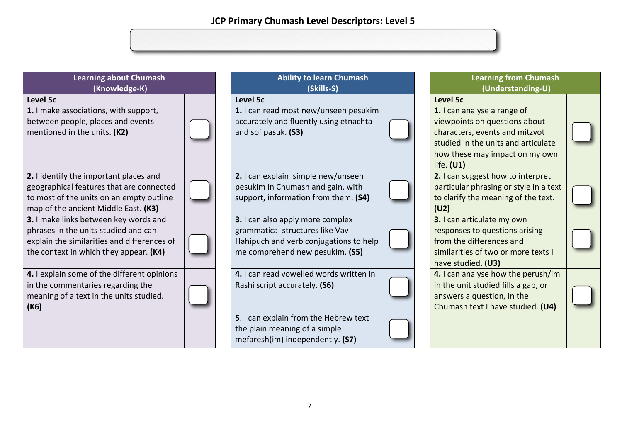| <b>Learning about Chumash</b><br>(Knowledge-K)                                                                                                                         | <b>Ability to learn Chumash</b><br>(Skills-S)                                                                                                    | <b>Learning from Chumash</b><br>(Understanding-U)                                                                                                                                                          |  |
|------------------------------------------------------------------------------------------------------------------------------------------------------------------------|--------------------------------------------------------------------------------------------------------------------------------------------------|------------------------------------------------------------------------------------------------------------------------------------------------------------------------------------------------------------|--|
| Level 5c<br>1. I make associations, with support,<br>between people, places and events<br>mentioned in the units. (K2)                                                 | Level 5c<br>1. I can read most new/unseen pesukim<br>accurately and fluently using etnachta<br>and sof pasuk. (S3)                               | <b>Level 5c</b><br>1. I can analyse a range of<br>viewpoints on questions about<br>characters, events and mitzvot<br>studied in the units and articulate<br>how these may impact on my own<br>life. $(U1)$ |  |
| 2. I identify the important places and<br>geographical features that are connected<br>to most of the units on an empty outline<br>map of the ancient Middle East. (K3) | 2. I can explain simple new/unseen<br>pesukim in Chumash and gain, with<br>support, information from them. (S4)                                  | 2. I can suggest how to interpret<br>particular phrasing or style in a text<br>to clarify the meaning of the text.<br>(U2)                                                                                 |  |
| 3. I make links between key words and<br>phrases in the units studied and can<br>explain the similarities and differences of<br>the context in which they appear. (K4) | 3. I can also apply more complex<br>grammatical structures like Vav<br>Hahipuch and verb conjugations to help<br>me comprehend new pesukim. (S5) | 3. I can articulate my own<br>responses to questions arising<br>from the differences and<br>similarities of two or more texts I<br>have studied. (U3)                                                      |  |
| 4. I explain some of the different opinions<br>in the commentaries regarding the<br>meaning of a text in the units studied.<br>(K6)                                    | 4. I can read vowelled words written in<br>Rashi script accurately. (S6)                                                                         | 4. I can analyse how the perush/im<br>in the unit studied fills a gap, or<br>answers a question, in the<br>Chumash text I have studied. (U4)                                                               |  |
|                                                                                                                                                                        | 5. I can explain from the Hebrew text<br>the plain meaning of a simple<br>mefaresh(im) independently. (S7)                                       |                                                                                                                                                                                                            |  |